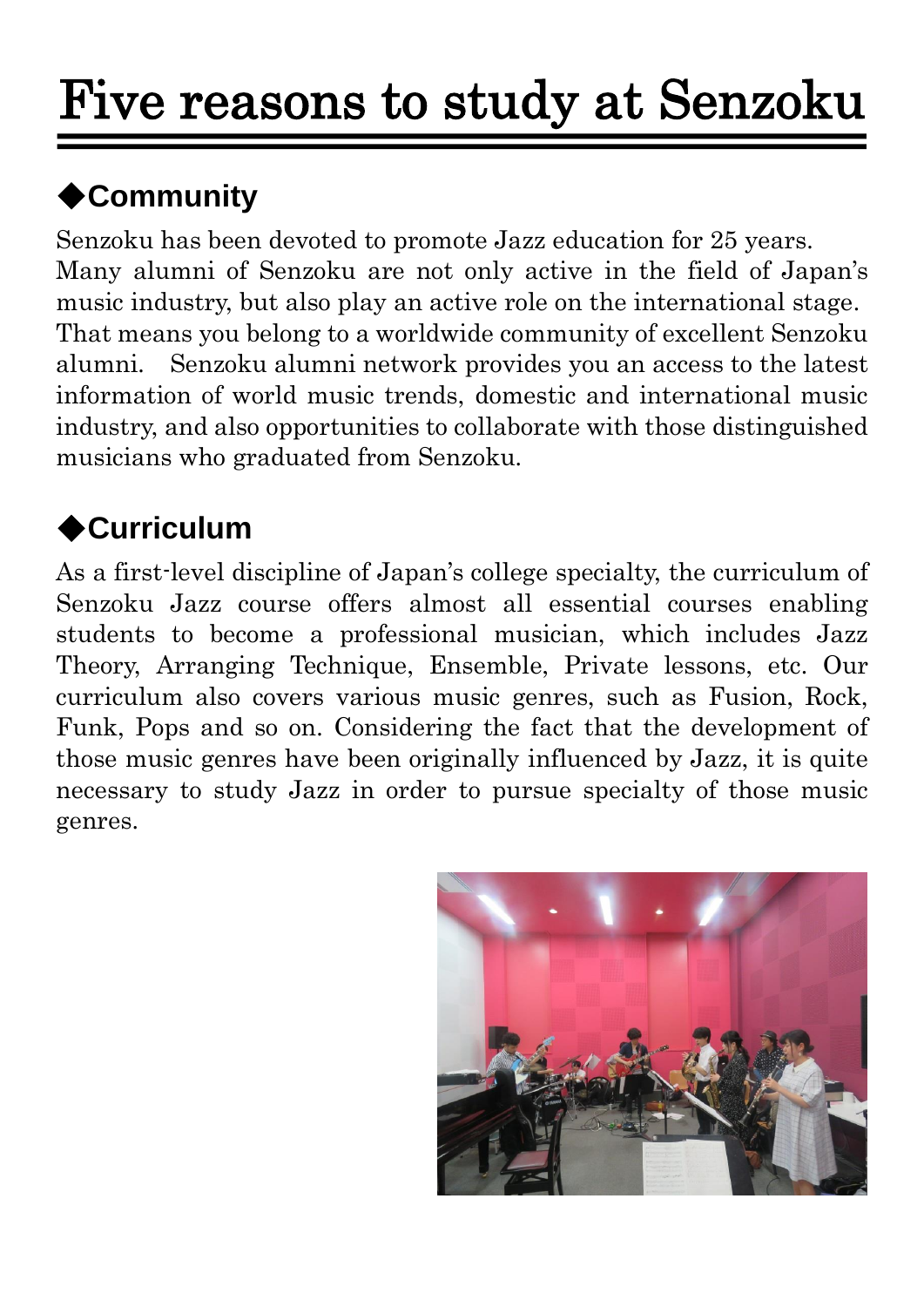# Five reasons to study at Senzoku

## ◆**Community**

Senzoku has been devoted to promote Jazz education for 25 years. Many alumni of Senzoku are not only active in the field of Japan's music industry, but also play an active role on the international stage. That means you belong to a worldwide community of excellent Senzoku alumni. Senzoku alumni network provides you an access to the latest information of world music trends, domestic and international music industry, and also opportunities to collaborate with those distinguished musicians who graduated from Senzoku.

#### ◆**Curriculum**

As a first-level discipline of Japan's college specialty, the curriculum of Senzoku Jazz course offers almost all essential courses enabling students to become a professional musician, which includes Jazz Theory, Arranging Technique, Ensemble, Private lessons, etc. Our curriculum also covers various music genres, such as Fusion, Rock, Funk, Pops and so on. Considering the fact that the development of those music genres have been originally influenced by Jazz, it is quite necessary to study Jazz in order to pursue specialty of those music genres.

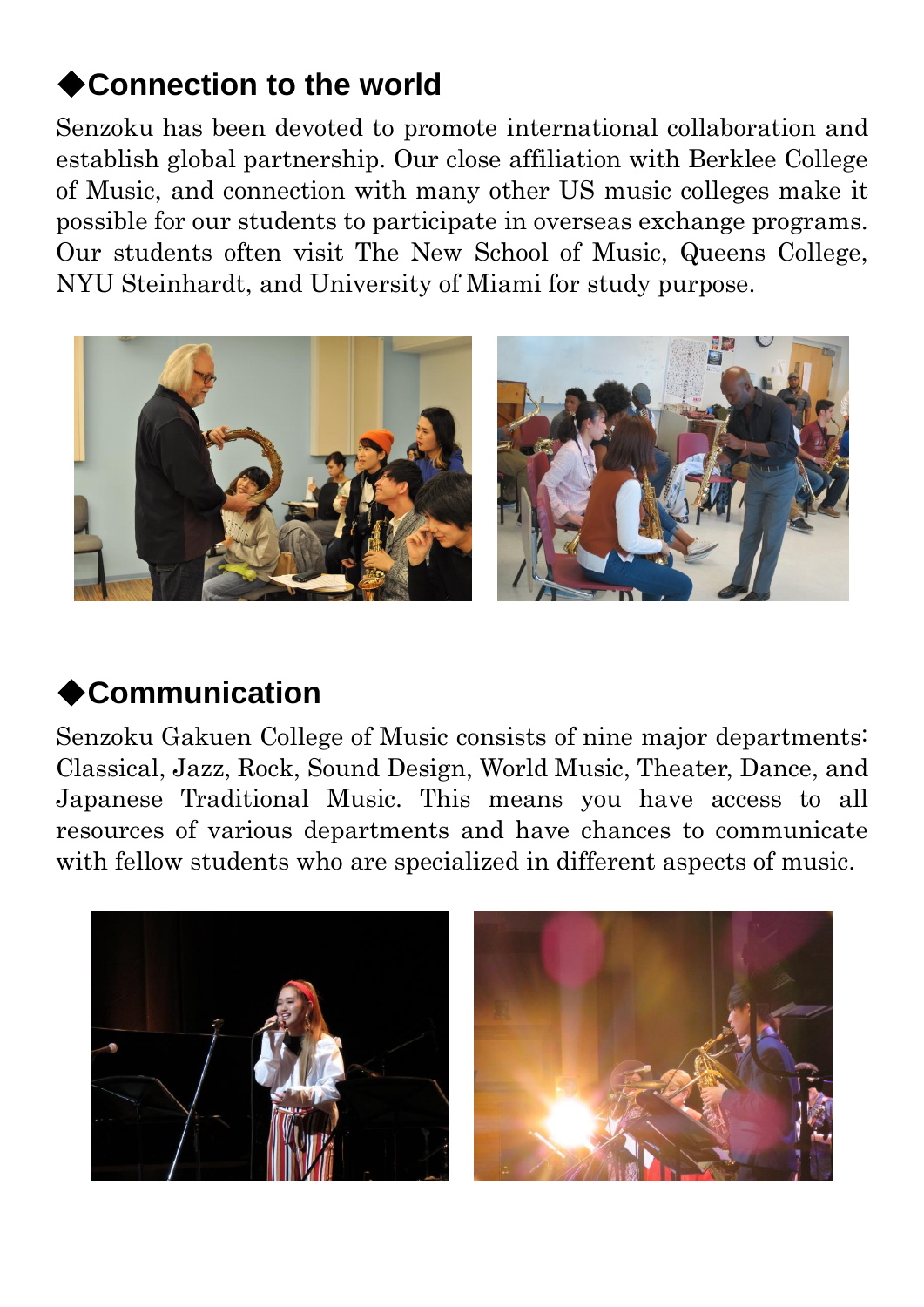#### ◆**Connection to the world**

Senzoku has been devoted to promote international collaboration and establish global partnership. Our close affiliation with Berklee College of Music, and connection with many other US music colleges make it possible for our students to participate in overseas exchange programs. Our students often visit The New School of Music, Queens College, NYU Steinhardt, and University of Miami for study purpose.



#### ◆**Communication**

Senzoku Gakuen College of Music consists of nine major departments: Classical, Jazz, Rock, Sound Design, World Music, Theater, Dance, and Japanese Traditional Music. This means you have access to all resources of various departments and have chances to communicate with fellow students who are specialized in different aspects of music.